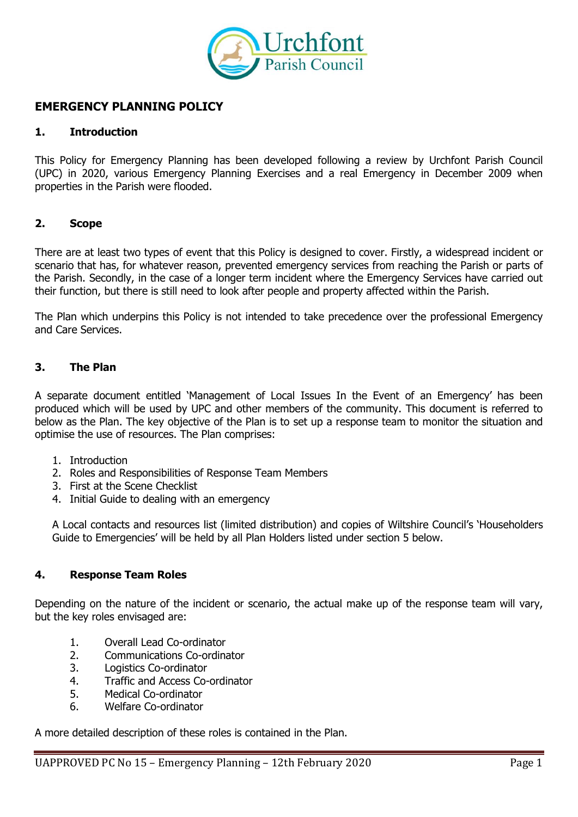

# **EMERGENCY PLANNING POLICY**

#### **1. Introduction**

This Policy for Emergency Planning has been developed following a review by Urchfont Parish Council (UPC) in 2020, various Emergency Planning Exercises and a real Emergency in December 2009 when properties in the Parish were flooded.

### **2. Scope**

There are at least two types of event that this Policy is designed to cover. Firstly, a widespread incident or scenario that has, for whatever reason, prevented emergency services from reaching the Parish or parts of the Parish. Secondly, in the case of a longer term incident where the Emergency Services have carried out their function, but there is still need to look after people and property affected within the Parish.

The Plan which underpins this Policy is not intended to take precedence over the professional Emergency and Care Services.

### **3. The Plan**

A separate document entitled 'Management of Local Issues In the Event of an Emergency' has been produced which will be used by UPC and other members of the community. This document is referred to below as the Plan. The key objective of the Plan is to set up a response team to monitor the situation and optimise the use of resources. The Plan comprises:

- 1. Introduction
- 2. Roles and Responsibilities of Response Team Members
- 3. First at the Scene Checklist
- 4. Initial Guide to dealing with an emergency

A Local contacts and resources list (limited distribution) and copies of Wiltshire Council's 'Householders Guide to Emergencies' will be held by all Plan Holders listed under section 5 below.

#### **4. Response Team Roles**

Depending on the nature of the incident or scenario, the actual make up of the response team will vary, but the key roles envisaged are:

- 1. Overall Lead Co-ordinator
- 2. Communications Co-ordinator
- 3. Logistics Co-ordinator
- 4. Traffic and Access Co-ordinator
- 5. Medical Co-ordinator
- 6. Welfare Co-ordinator

A more detailed description of these roles is contained in the Plan.